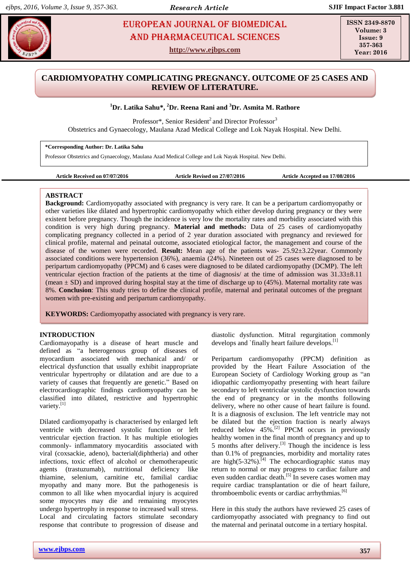# **EUROPEAN JOURNAL OF BIOMEDICAL EUROPEAN SOURNAL OF BIOMEDICAL** AND Pharmaceutical sciences

**http://www.ejbps.com**

**ISSN 2349-8870 Volume: 3 Issue: 9 357-363 Year: 2016**

# **CARDIOMYOPATHY COMPLICATING PREGNANCY. OUTCOME OF 25 CASES AND REVIEW OF LITERATURE.**

# **<sup>1</sup>Dr. Latika Sahu\*, <sup>2</sup>Dr. Reena Rani and <sup>3</sup>Dr. Asmita M. Rathore**

Professor\*, Senior Resident<sup>2</sup> and Director Professor<sup>3</sup> Obstetrics and Gynaecology, Maulana Azad Medical College and Lok Nayak Hospital. New Delhi.

**\*Corresponding Author: Dr. Latika Sahu**

Professor Obstetrics and Gynaecology, Maulana Azad Medical College and Lok Nayak Hospital. New Delhi.

**Article Received on 07/07/2016 Article Revised on 27/07/2016 Article Accepted on 17/08/2016**

## **ABSTRACT**

**Background:** Cardiomyopathy associated with pregnancy is very rare. It can be a peripartum cardiomyopathy or other varieties like dilated and hypertrophic cardiomyopathy which either develop during pregnancy or they were existent before pregnancy. Though the incidence is very low the mortality rates and morbidity associated with this condition is very high during pregnancy. **Material and methods:** Data of 25 cases of cardiomyopathy complicating pregnancy collected in a period of 2 year duration associated with pregnancy and reviewed for clinical profile, maternal and peinatal outcome, associated etiological factor, the management and course of the disease of the women were recorded. **Result:** Mean age of the patients was- 25.92±3.22year. Commonly associated conditions were hypertension (36%), anaemia (24%). Nineteen out of 25 cases were diagnosed to be peripartum cardiomyopathy (PPCM) and 6 cases were diagnosed to be dilated cardiomyopathy (DCMP). The left ventricular ejection fraction of the patients at the time of diagnosis/ at the time of admission was 31.33±8.11 (mean  $\pm$  SD) and improved during hospital stay at the time of discharge up to (45%). Maternal mortality rate was 8%. **Conclusion**: This study tries to define the clinical profile, maternal and perinatal outcomes of the pregnant women with pre-existing and peripartum cardiomyopathy.

**KEYWORDS:** Cardiomyopathy associated with pregnancy is very rare.

## **INTRODUCTION**

Cardiomayopathy is a disease of heart muscle and defined as "a heterogenous group of diseases of myocardium associated with mechanical and/ or electrical dysfunction that usually exhibit inappropriate ventricular hypertrophy or dilatation and are due to a variety of causes that frequently are genetic." Based on electrocardiographic findings cardiomyopathy can be classified into dilated, restrictive and hypertrophic variety.<sup>[1]</sup>

Dilated cardiomyopathy is characterised by enlarged left ventricle with decreased systolic function or left ventricular ejection fraction. It has multiple etiologies commonly- inflammatory myocarditis associated with viral (coxsackie, adeno), bacterial(diphtheria) and other infections, toxic effect of alcohol or chemotherapeutic agents (trastuzumab), nutritional deficiency like thiamine, selenium, carnitine etc, familial cardiac myopathy and many more. But the pathogenesis is common to all like when myocardial injury is acquired some myocytes may die and remaining myocytes undergo hypertrophy in response to increased wall stress. Local and circulating factors stimulate secondary response that contribute to progression of disease and

**www.ejbps.com 357**

diastolic dysfunction. Mitral regurgitation commonly develops and `finally heart failure develops.<sup>[1]</sup>

Peripartum cardiomyopathy (PPCM) definition as provided by the Heart Failure Association of the European Society of Cardiology Working group as "an idiopathic cardiomyopathy presenting with heart failure secondary to left ventricular systolic dysfunction towards the end of pregnancy or in the months following delivery, where no other cause of heart failure is found. It is a diagnosis of exclusion. The left ventricle may not be dilated but the ejection fraction is nearly always reduced below 45%.<sup>[2]</sup> PPCM occurs in previously healthy women in the final month of pregnancy and up to  $\frac{1}{2}$  months after delivery.<sup>[3]</sup> Though the incidence is less than 0.1% of pregnancies, morbidity and mortality rates are high(5-32%).<sup>[4]</sup> The echocardiographic status may return to normal or may progress to cardiac failure and even sudden cardiac death.[5] In severe cases women may require cardiac transplantation or die of heart failure, thromboembolic events or cardiac arrhythmias.<sup>[6]</sup>

Here in this study the authors have reviewed 25 cases of cardiomyopathy associated with pregnancy to find out the maternal and perinatal outcome in a tertiary hospital.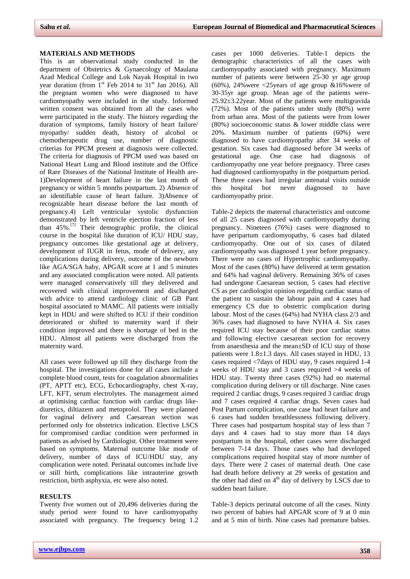#### **MATERIALS AND METHODS**

This is an observational study conducted in the department of Obstetrics & Gynaecology of Maulana Azad Medical College and Lok Nayak Hospital in two year duration (from  $1<sup>st</sup>$  Feb 2014 to  $31<sup>st</sup>$  Jan 2016). All the pregnant women who were diagnosed to have cardiomyopathy were included in the study. Informed written consent was obtained from all the cases who were participated in the study. The history regarding the duration of symptoms, family history of heart failure/ myopathy/ sudden death, history of alcohol or chemotherapeutic drug use, number of diagnostic criterias for PPCM present at diagnosis were collected. The criteria for diagnosis of PPCM used was based on National Heart Lung and Blood institute and the Office of Rare Diseases of the National Institute of Health are-1)Development of heart failure in the last month of pregnancy or within 5 months postpartum. 2) Absence of an identifiable cause of heart failure. 3)Absence of recognizable heart disease before the last month of pregnancy.4) Left ventricular systolic dysfunction demonstrated by left ventricle ejection fraction of less than  $45\%$ .<sup>[7]</sup> Their demographic profile, the clinical course in the hospital like duration of ICU/ HDU stay, pregnancy outcomes like gestational age at delivery, development of IUGR in fetus, mode of delivery, any complications during delivery, outcome of the newborn like AGA/SGA baby, APGAR score at 1 and 5 minutes and any associated complication were noted. All patients were managed conservatively till they delivered and recovered with clinical improvement and discharged with advice to attend cardiology clinic of GB Pant hospital associated to MAMC. All patients were initially kept in HDU and were shifted to ICU if their condition deteriorated or shifted to maternity ward if their condition improved and there is shortage of bed in the HDU. Almost all patients were discharged from the maternity ward.

All cases were followed up till they discharge from the hospital. The investigations done for all cases include a complete blood count, tests for coagulation abnormalities (PT, APTT etc), ECG, Echocardiography, chest X-ray, LFT, KFT, serum electrolytes. The management aimed at optimising cardiac function with cardiac drugs likediuretics, diltiazem and metoprolol. They were planned for vaginal delivery and Caesarean section was performed only for obstetrics indication. Elective LSCS for compromised cardiac condition were performed in patients as advised by Cardiologist. Other treatment were based on symptoms. Maternal outcome like mode of delivery, number of days of ICU/HDU stay, any complication were noted. Perinatal outcomes include live or still birth, complications like intrauterine growth restriction, birth asphyxia, etc were also noted.

#### **RESULTS**

Twenty five women out of 20,496 deliveries during the study period were found to have cardiomyopathy associated with pregnancy. The frequency being 1.2

cases per 1000 deliveries. Table-1 depicts the demographic characteristics of all the cases with cardiomyopathy associated with pregnancy. Maximum number of patients were between 25-30 yr age group (60%), 24% were  $\langle 25 \rangle$  years of age group &16% were of 30-35yr age group. Mean age of the patients were-25.92±3.22year. Most of the patients were multigravida (72%). Most of the patients under study (80%) were from urban area. Most of the patients were from lower (80%) socioeconomic status  $\&$  lower middle class were 20%. Maximum number of patients (60%) were diagnosed to have cardiomyopathy after 34 weeks of gestation. Six cases had diagnosed before 34 weeks of gestational age. One case had diagnosis of cardiomyopathy one year before pregnancy. Three cases had diagnosed cardiomyopathy in the postpartum period. These three cases had irregular antenatal visits outside this hospital but never diagnosed to have cardiomyopathy prior.

Table-2 depicts the maternal characteristics and outcome of all 25 cases diagnosed with cardiomyopathy during pregnancy. Nineteen (76%) cases were diagnosed to have peripartum cardiomyopathy, 6 cases had dilated cardiomyopathy. One out of six cases of dilated cardiomyopathy was diagnosed 1 year before pregnancy. There were no cases of Hypertrophic cardiomyopathy. Most of the cases (80%) have delivered at term gestation and 64% had vaginal delivery. Remaining 36% of cases had undergone Caesarean section, 5 cases had elective CS as per cardiologist opinion regarding cardiac status of the patient to sustain the labour pain and 4 cases had emergency CS due to obstetric complication during labour. Most of the cases (64%) had NYHA class 2/3 and 36% cases had diagnosed to have NYHA 4. Six cases required ICU stay because of their poor cardiac status and following elective caesarean section for recovery from anaesthesia and the mean±SD of ICU stay of those patients were 1.8±1.3 days. All cases stayed in HDU, 13 cases required <7days of HDU stay, 9 cases required 1-4 weeks of HDU stay and 3 cases required >4 weeks of HDU stay. Twenty three cases (92%) had no maternal complication during delivery or till discharge. Nine cases required 2 cardiac drugs, 9 cases required 3 cardiac drugs and 7 cases required 4 cardiac drugs. Seven cases had Post Partum complication, one case had heart failure and 6 cases had sudden breathlessness following delivery. Three cases had postpartum hospital stay of less than 7 days and 4 cases had to stay more than 14 days postpartum in the hospital, other cases were discharged between 7-14 days. Those cases who had developed complications required hospital stay of more number of days. There were 2 cases of maternal death. One case had death before delivery at 29 weeks of gestation and the other had died on  $4<sup>th</sup>$  day of delivery by LSCS due to sudden heart failure.

Table-3 depicts perinatal outcome of all the cases. Ninty two percent of babies had APGAR score of 9 at 0 min and at 5 min of birth. Nine cases had premature babies.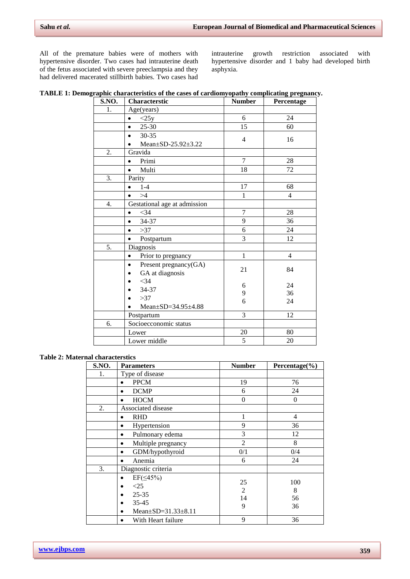All of the premature babies were of mothers with hypertensive disorder. Two cases had intrauterine death of the fetus associated with severe preeclampsia and they had delivered macerated stillbirth babies. Two cases had

intrauterine growth restriction associated with hypertensive disorder and 1 baby had developed birth asphyxia.

| TABLE 1: Demographic characteristics of the cases of cardiomyopathy complicating pregnancy. |  |
|---------------------------------------------------------------------------------------------|--|
|---------------------------------------------------------------------------------------------|--|

| S.NO. | Characterstic                                         | <b>Number</b>  | Percentage     |
|-------|-------------------------------------------------------|----------------|----------------|
| 1.    | Age(years)                                            |                |                |
|       | <25y<br>$\bullet$                                     | 6              | 24             |
|       | $25 - 30$<br>$\bullet$                                | 15             | 60             |
|       | $30 - 35$                                             | 4              | 16             |
|       | Mean±SD-25.92±3.22                                    |                |                |
| 2.    | Gravida                                               |                |                |
|       | Primi<br>$\bullet$                                    | $\overline{7}$ | 28             |
|       | Multi<br>$\bullet$                                    | 18             | 72             |
| 3.    | Parity                                                |                |                |
|       | $1-4$<br>$\bullet$                                    | 17             | 68             |
|       | >4<br>$\bullet$                                       | $\mathbf{1}$   | $\overline{4}$ |
| 4.    | Gestational age at admission                          |                |                |
|       | $<$ 34<br>$\bullet$                                   | 7              | 28             |
|       | 34-37<br>$\bullet$                                    | 9              | 36             |
|       | >37<br>$\bullet$                                      | 6              | 24             |
|       | Postpartum                                            | 3              | 12             |
| 5.    | Diagnosis                                             |                |                |
|       | Prior to pregnancy<br>$\bullet$                       | $\mathbf{1}$   | $\overline{4}$ |
|       | Present pregnancy(GA)<br>$\bullet$<br>GA at diagnosis | 21             | 84             |
|       | $<$ 34                                                | 6              | 24             |
|       | 34-37                                                 | 9              | 36             |
|       | >37<br>Mean $\pm$ SD=34.95 $\pm$ 4.88                 | 6              | 24             |
|       | Postpartum                                            | 3              | 12             |
| 6.    | Socioecconomic status                                 |                |                |
|       | Lower                                                 | 20             | 80             |
|       | Lower middle                                          | 5              | 20             |

## **Table 2: Maternal characterstics**

| S.NO. | <b>Parameters</b>                                                                   | <b>Number</b>      | Percentage $(\% )$   |
|-------|-------------------------------------------------------------------------------------|--------------------|----------------------|
| 1.    | Type of disease                                                                     |                    |                      |
|       | <b>PPCM</b>                                                                         | 19                 | 76                   |
|       | <b>DCMP</b>                                                                         | 6                  | 24                   |
|       | <b>HOCM</b><br>$\bullet$                                                            | $\theta$           | $\theta$             |
| 2.    | Associated disease                                                                  |                    |                      |
|       | <b>RHD</b><br>$\bullet$                                                             | 1                  | 4                    |
|       | Hypertension<br>$\bullet$                                                           | 9                  | 36                   |
|       | Pulmonary edema<br>$\bullet$                                                        | 3                  | 12                   |
|       | Multiple pregnancy<br>$\bullet$                                                     | $\overline{2}$     | 8                    |
|       | GDM/hypothyroid<br>$\bullet$                                                        | 0/1                | 0/4                  |
|       | Anemia<br>٠                                                                         | 6                  | 24                   |
| 3.    | Diagnostic criteria                                                                 |                    |                      |
|       | $EF(\leq 45\%)$<br>< 25<br>$25 - 35$<br>$35 - 45$<br>Mean $\pm$ SD=31.33 $\pm$ 8.11 | 25<br>2<br>14<br>9 | 100<br>8<br>56<br>36 |
|       | With Heart failure                                                                  | 9                  | 36                   |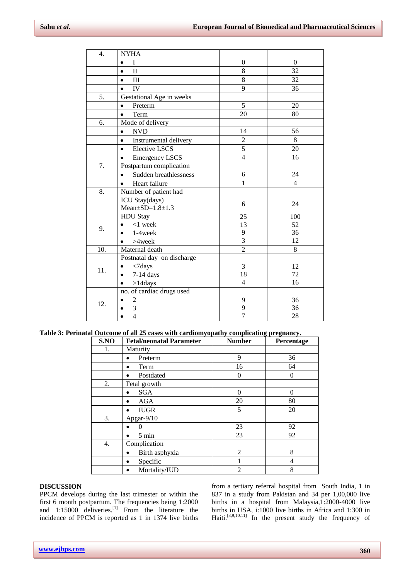| 4.  | <b>NYHA</b>                        |                |                |
|-----|------------------------------------|----------------|----------------|
|     | I<br>$\bullet$                     | $\theta$       | $\Omega$       |
|     | $\mathbf{I}$<br>$\bullet$          | 8              | 32             |
|     | III<br>$\bullet$                   | 8              | 32             |
|     | IV<br>$\bullet$                    | 9              | 36             |
| 5.  | Gestational Age in weeks           |                |                |
|     | Preterm<br>$\bullet$               | 5              | 20             |
|     | Term<br>$\bullet$                  | 20             | 80             |
| 6.  | Mode of delivery                   |                |                |
|     | <b>NVD</b><br>$\bullet$            | 14             | 56             |
|     | Instrumental delivery<br>$\bullet$ | $\overline{2}$ | 8              |
|     | <b>Elective LSCS</b><br>$\bullet$  | 5              | 20             |
|     | <b>Emergency LSCS</b><br>$\bullet$ | $\overline{4}$ | 16             |
| 7.  | Postpartum complication            |                |                |
|     | Sudden breathlessness<br>$\bullet$ | 6              | 24             |
|     | Heart failure                      | $\mathbf{1}$   | $\overline{4}$ |
| 8.  | Number of patient had              |                |                |
|     | ICU Stay(days)                     | 6              | 24             |
|     | $Mean \pm SD = 1.8 \pm 1.3$        |                |                |
|     | <b>HDU</b> Stay                    | 25             | 100            |
| 9.  | $<$ 1 week                         | 13             | 52             |
|     | $1-4$ week                         | 9              | 36             |
|     | $>4$ week                          | 3              | 12             |
| 10. | Maternal death                     | $\overline{2}$ | 8              |
| 11. | Postnatal day on discharge         |                |                |
|     | $<7$ days                          | 3              | 12             |
|     | $7-14$ days                        | 18             | 72             |
|     | $>14$ days<br>$\bullet$            | $\overline{4}$ | 16             |
| 12. | no. of cardiac drugs used          |                |                |
|     | $\overline{c}$                     | 9              | 36             |
|     | 3                                  | 9              | 36             |
|     | $\overline{4}$                     | $\overline{7}$ | 28             |

**Table 3: Perinatal Outcome of all 25 cases with cardiomyopathy complicating pregnancy.**

| S.NO | <b>Fetal/neonatal Parameter</b> | <b>Number</b>  | Percentage     |
|------|---------------------------------|----------------|----------------|
| 1.   | Maturity                        |                |                |
|      | Preterm                         | 9              | 36             |
|      | Term                            | 16             | 64             |
|      | Postdated<br>$\bullet$          | $\Omega$       | $\theta$       |
| 2.   | Fetal growth                    |                |                |
|      | <b>SGA</b><br>$\bullet$         | $\Omega$       | $\Omega$       |
|      | AGA                             | 20             | 80             |
|      | <b>IUGR</b>                     | 5              | 20             |
| 3.   | Apgar-9/10                      |                |                |
|      | 0                               | 23             | 92             |
|      | 5 min                           | 23             | 92             |
| 4.   | Complication                    |                |                |
|      | Birth asphyxia                  | $\overline{2}$ | 8              |
|      | Specific<br>٠                   |                | $\overline{4}$ |
|      | Mortality/IUD                   | $\overline{2}$ | 8              |

#### **DISCUSSION**

PPCM develops during the last trimester or within the first 6 month postpartum. The frequencies being 1:2000 and 1:15000 deliveries.<sup>[1]</sup> From the literature the incidence of PPCM is reported as 1 in 1374 live births

from a tertiary referral hospital from South India, 1 in 837 in a study from Pakistan and 34 per 1,00,000 live births in a hospital from Malaysia,1:2000-4000 live births in USA, i:1000 live births in Africa and 1:300 in Haiti.<sup>[8,9,10,11]</sup> In the present study the frequency of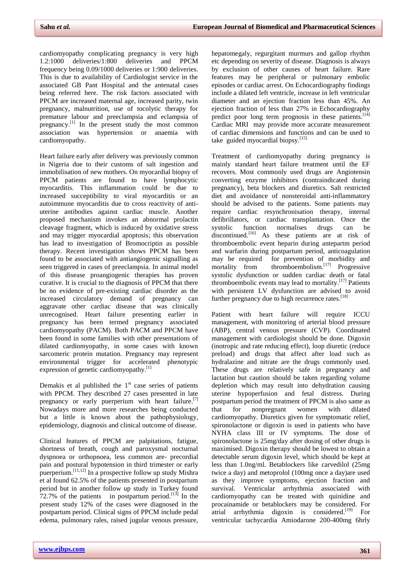cardiomyopathy complicating pregnancy is very high 1.2:1000 deliveries/1:800 deliveries and PPCM frequency being 0.09/1000 deliveries or 1:900 deliveries. This is due to availability of Cardiologist service in the associated GB Pant Hospital and the antenatal cases being referred here. The risk factors associated with PPCM are increased maternal age, increased parity, twin pregnancy, malnutrition, use of tocolytic therapy for premature labour and preeclampsia and eclampsia of pregnancy.<sup>[1]</sup> In the present study the most common association was hypertension or anaemia with cardiomyopathy.

Heart failure early after delivery was previously common in Nigeria due to their customs of salt ingestion and immobilisation of new mothers. On myocardial biopsy of PPCM patients are found to have lymphocytic myocarditis. This inflammation could be due to increased succeptibility to viral myocarditis or an autoimmune myocarditis due to cross reactivity of antiuterine antibodies against cardiac muscle. Another proposed mechanism invokes an abnormal prolactin cleavage fragment, which is induced by oxidative stress and may trigger myocardial apoptosis; this observation has lead to investigation of Bromocriptin as possible therapy. Recent investigation shows PPCM has been found to be associated with antiangiogenic signalling as seen triggered in cases of preeclampsia. In animal model of this disease proangiogenic therapies has proven curative. It is crucial to the diagnosis of PPCM that there be no evidence of pre-existing cardiac disorder as the increased circulatory demand of pregnancy can aggravate other cardiac disease that was clinically unrecognised. Heart failure presenting earlier in pregnancy has been termed pregnancy associated cardiomyopathy (PACM). Both PACM and PPCM have been found in some families with other presentations of dilated cardiomyopathy, in some cases with known sarcomeric protein mutation. Pregnancy may represent environmental trigger for accelerated phenotypic expression of genetic cardiomyopathy.<sup>[1]</sup>

Demakis et al published the  $1<sup>st</sup>$  case series of patients with PPCM. They described 27 cases presented in late pregnancy or early puerperium with heart failure.<sup>[7]</sup> Nowadays more and more researches being conducted but a little is known about the pathophysiology, epidemiology, diagnosis and clinical outcome of disease.

Clinical features of PPCM are palpitations, fatigue, shortness of breath, cough and paroxysmal nocturnal dyspnoea or orthopnoea, less common are- precordial pain and postural hypotension in third trimester or early puerperium.<sup>[11,12]</sup> In a prospective follow up study Mishra et al found 62.5% of the patients presented in postpartum period but in another follow up study in Turkey found 72.7% of the patients in postpartum period.<sup>[13]</sup> In the present study 12% of the cases were diagnosed in the postpartum period. Clinical signs of PPCM include pedal edema, pulmonary rales, raised jugular venous pressure, hepatomegaly, regurgitant murmurs and gallop rhythm etc depending on severity of disease. Diagnosis is always by exclusion of other causes of heart failure. Rare features may be peripheral or pulmonary embolic episodes or cardiac arrest. On Echocardiography findings include a dilated left ventricle, increase in left ventricular diameter and an ejection fraction less than 45%. An ejection fraction of less than 27% in Echocardiography predict poor long term prognosis in these patients.<sup>[14]</sup> Cardiac MRI may provide more accurate measurement of cardiac dimensions and functions and can be used to take guided myocardial biopsy.<sup>[15]</sup>

Treatment of cardiomyopathy during pregnancy is mainly standard heart failure treatment until the EF recovers. Most commonly used drugs are Angiotensin converting enzyme inhibitors (contraindicated during pregnancy), beta blockers and diuretics. Salt restricted diet and avoidance of nonsteroidal anti-inflammatory should be advised to the patients. Some patients may require cardiac resynchronisation therapy, internal defibrillators, or cardiac transplantation. Once the systolic function normalises drugs can be discontinued.<sup>[16]</sup> As these patients are at risk of thromboembolic event heparin during antepartm period and warfarin during postpartum period, anticoagulation may be required for prevention of morbidity and mortality from thromboembolism.<sup>[17]</sup> Progressive systolic dysfunction or sudden cardiac death or fatal thromboembolic events may lead to mortality.<sup>[17]</sup> Patients with persistent LV dysfunction are advised to avoid further pregnancy due to high recurrence rates.<sup>[18]</sup>

Patient with heart failure will require ICCU management, with monitoring of arterial blood pressure (ABP), central venous pressure (CVP). Coordinated management with cardiologist should be done. Digoxin (inotropic and rate reducing effect), loop diuretic (reduce preload) and drugs that affect after load such as hydralazine and nitrate are the drugs commonly used. These drugs are relatively safe in pregnancy and lactation but caution should be taken regarding volume depletion which may result into dehydration causing uterine hypoperfusion and fetal distress. During postpartum period the treatment of PPCM is also same as that for nonpregnant women with dilated cardiomyopathy. Diuretics given for symptomatic relief, spironolactone or digoxin is used in patients who have NYHA class III or IV symptoms. The dose of spironolactone is 25mg/day after dosing of other drugs is maximised. Digoxin therapy should be lowest to obtain a detectable serum digoxin level, which should be kept at less than 1.0ng/ml. Betablockers like carvedilol (25mg twice a day) and metoprolol (100mg once a day)are used as they improve symptoms, ejection fraction and survival. Ventricular arrhythmia associated with cardiomyopathy can be treated with quinidine and procainamide or betablockers may be considered. For atrial arrhythmia digoxin is considered.<sup>[19]</sup> For ventricular tachycardia Amiodarone 200-400mg 6hrly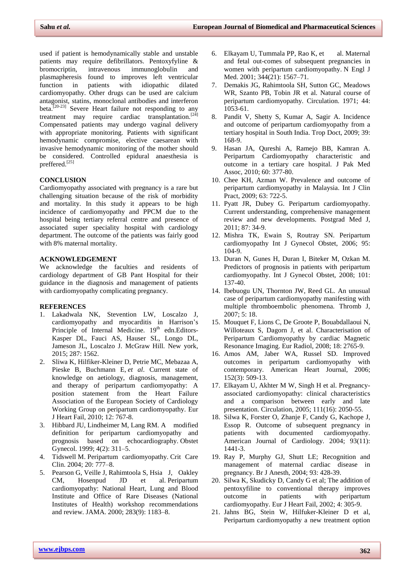used if patient is hemodynamically stable and unstable patients may require defibrillators. Pentoxyfyline & bromocriptin, intravenous immunoglobulin and plasmapheresis found to improves left ventricular function in patients with idiopathic dilated cardiomyopathy. Other drugs can be used are calcium antagonist, statins, monoclonal antibodies and interferon beta.<sup>[20-23]</sup> Severe Heart failure not responding to any treatment may require cardiac transplantation.<sup>[24]</sup> Compensated patients may undergo vaginal delivery with appropriate monitoring. Patients with significant hemodynamic compromise, elective caesarean with invasive hemodynamic monitoring of the mother should be considered. Controlled epidural anaesthesia is preffered.<sup>[25]</sup>

## **CONCLUSION**

Cardiomyopathy associated with pregnancy is a rare but challenging situation because of the risk of morbidity and mortality. In this study it appears to be high incidence of cardiomyopathy and PPCM due to the hospital being tertiary referral centre and presence of associated super speciality hospital with cardiology department. The outcome of the patients was fairly good with 8% maternal mortality.

#### **ACKNOWLEDGEMENT**

We acknowledge the faculties and residents of cardiology department of GB Pant Hospital for their guidance in the diagnosis and management of patients with cardiomyopathy complicating pregnancy.

#### **REFERENCES**

- 1. Lakadwala NK, Stevention LW, Loscalzo J, cardiomyopathy and myocarditis in Harrison's Principle of Internal Medicine.  $19<sup>th</sup>$  edn.Editors-Kasper DL, Fauci AS, Hauser SL, Longo DL, Jameson JL, Loscalzo J. McGraw Hill. New york, 2015; 287: 1562.
- 2. Sliwa K, Hilfiker-Kleiner D, Petrie MC, Mebazaa A, Pieske B, Buchmann E, *et al*. Current state of knowledge on aetiology, diagnosis, management, and therapy of peripartum cardiomyopathy: A position statement from the Heart Failure Association of the European Society of Cardiology Working Group on peripartum cardiomyopathy. Eur J Heart Fail, 2010; 12: 767-8.
- 3. Hibbard JU, Lindheimer M, Lang RM. A modified definition for peripartum cardiomyopathy and prognosis based on echocardiography. Obstet Gynecol. 1999; 4(2): 311–5.
- 4. Tidswell M. Peripartum cardiomyopathy. Crit Care Clin. 2004; 20: 777–8.
- 5. Pearson G, Veille J, Rahimtoola S, Hsia J, Oakley CM, Hosenpud JD et al. Peripartum cardiomyopathy: National Heart, Lung and Blood Institute and Office of Rare Diseases (National Institutes of Health) workshop recommendations and review. JAMA. 2000; 283(9): 1183–8.
- 6. Elkayam U, Tummala PP, Rao K, et al. Maternal and fetal out-comes of subsequent pregnancies in women with peripartum cardiomyopathy. N Engl J Med. 2001; 344(21): 1567–71.
- 7. Demakis JG, Rahimtoola SH, Sutton GC, Meadows WR, Szanto PB, Tobin JR et al. Natural course of peripartum cardiomyopathy. Circulation. 1971; 44:  $1053 - 61$ .
- 8. Pandit V, Shetty S, Kumar A, Sagir A. Incidence and outcome of peripartum cardiomyopathy from a tertiary hospital in South India. Trop Doct, 2009; 39: 168-9.
- 9. Hasan JA, Qureshi A, Ramejo BB, Kamran A. Peripartum Cardiomyopathy characteristic and outcome in a tertiary care hospital. J Pak Med Assoc, 2010; 60: 377-80.
- 10. Chee KH, Azman W. Prevalence and outcome of peripartum cardiomyopathy in Malaysia. Int J Clin Pract, 2009; 63: 722-5.
- 11. Pyatt JR, Dubey G. Peripartum cardiomyopathy. Current understanding, comprehensive management review and new developments. Postgrad Med J, 2011; 87: 34-9.
- 12. Mishra TK, Ewain S, Routray SN. Peripartum cardiomyopathy Int J Gynecol Obstet, 2006; 95: 104-9.
- 13. Duran N, Gunes H, Duran I, Biteker M, Ozkan M. Predictors of prognosis in patients with peripartum cardiomyopathy. Int J Gynecol Obstet, 2008; 101: 137-40.
- 14. Ibebuogu UN, Thornton JW, Reed GL. An unusual case of peripartum cardiomyopathy manifesting with multiple thromboembolic phenomena. Thromb J, 2007; 5: 18.
- 15. Mouquet F, Lions C, De Groote P, Bouabdallaoui N, Willoteaux S, Dagorn J, et al. Characterisation of Peripartum Cardiomyopathy by cardiac Magnetic Resonance Imaging. Eur Radiol, 2008; 18: 2765-9.
- 16. Amos AM, Jaber WA, Russel SD. Improved outcomes in peripartum cardiomyopathy with contemporary. American Heart Journal, 2006; 152(3): 509-13.
- 17. Elkayam U, Akhter M W, Singh H et al. Pregnancyassociated cardiomyopathy: clinical characteristics and a comparison between early and late presentation. Circulation, 2005; 111(16): 2050-55.
- 18. Silwa K, Forster O, Zhanje F, Candy G, Kachope J, Essop R. Outcome of subsequent pregnancy in patients with documented cardiomyopathy. American Journal of Cardiology. 2004; 93(11): 1441-3.
- 19. Ray P, Murphy GJ, Shutt LE; Recognition and management of maternal cardiac disease in pregnancy. Br J Anesth, 2004; 93: 428-39.
- 20. Silwa K, Skudicky D, Candy G et al; The addition of pentoxyfiline to conventional therapy improves outcome in patients with peripartum cardiomyopathy. Eur J Heart Fail, 2002; 4: 305-9.
- 21. Jahns BG, Stein W, Hilfuker-Kleiner D et al, Peripartum cardiomyopathy a new treatment option